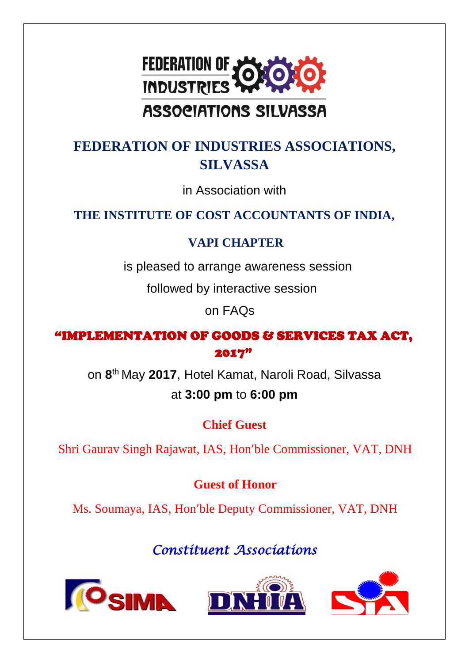

# **ASSOCIATIONS SILVASSA**

## **FEDERATION OF INDUSTRIES ASSOCIATIONS, SILVASSA**

in Association with

### **THE INSTITUTE OF COST ACCOUNTANTS OF INDIA,**

### **VAPI CHAPTER**

is pleased to arrange awareness session

followed by interactive session

on FAQs

### "IMPLEMENTATION OF GOODS & SERVICES TAX ACT, 2017"

on **8** th May **2017**, Hotel Kamat, Naroli Road, Silvassa at **3:00 pm** to **6:00 pm**

## **Chief Guest**

Shri Gaurav Singh Rajawat, IAS, Hon'ble Commissioner, VAT, DNH

## **Guest of Honor**

Ms. Soumaya, IAS, Hon'ble Deputy Commissioner, VAT, DNH

## *Constituent Associations*